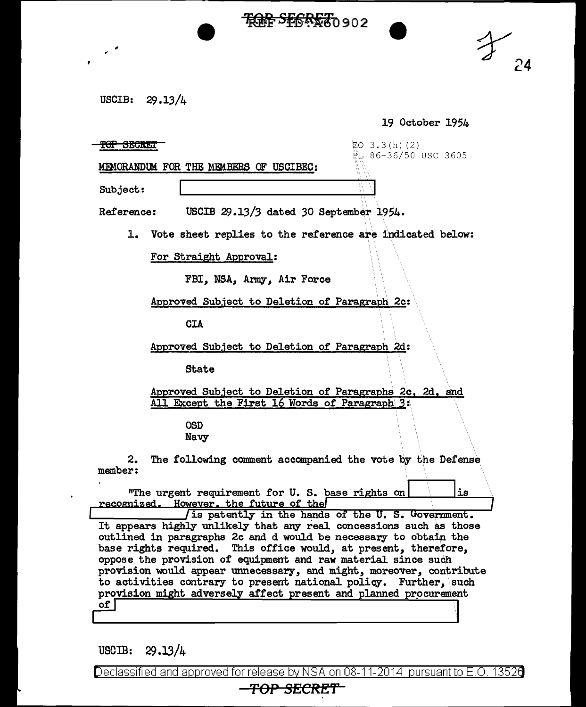<del>ቺበት SF6R£7</del>0902



USCIB: 29 .13/4

19 October 1954

 $\overline{Y}$ OP SECRET  $\overline{E}$   $(2)$ PL 86-36/50 USC 3605

MEMORANDUM FOR THE MEMBERS OF USCIBEC:

Subject:

"

Reference: USCIB 29.13/3 dated 30 September 1954.

1. Vote sheet replies to the reference are indicated below:

For Straight Approval:

FBI, NSA, Army, Air Force

Approved Subject to Deletion of Paragraph 2c:

CIA

Approved Subject to Deletion of Paragraph 2d:

State

Approved Subject to Deletion of Paragraphs 2c, 2d, and All Except the First 16 Words of Paragraph 3:

> OSD Navy

2. The following comment accompanied the vote by the Defense member:

"The urgent requirement for U. S. base rights on  $\vert$  ... recognized. However, the future of the state of the U.S. Government.

It appears highly unlikely that any real concessions such as those outlined in paragraphs 2c and d would be necessary to obtain the base rights required. This office would, at present, therefore, oppose the provision of equipment and raw material since such provision would appear unnecessary, and might, moreover, contribute to activities contrary to present national policy. Further, such provision might adversely affect present and planned procurement  $of <sub>l</sub>$ 

USCIB:  $29.13/4$ 

Declassified and approved for release by NSA on 08-11-2014  $\,$  pursuant to E.O. 1352 $\rm d$